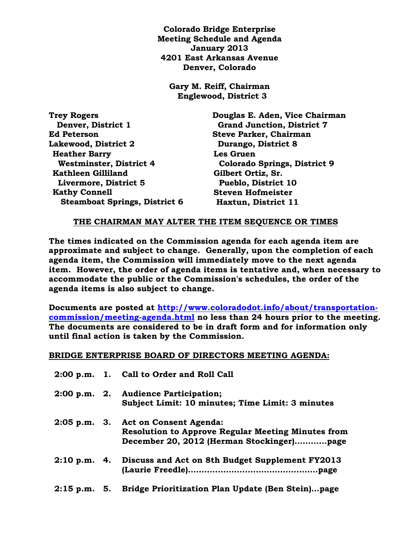**Colorado Bridge Enterprise Meeting Schedule and Agenda January 2013 4201 East Arkansas Avenue Denver, Colorado**

**Gary M. Reiff, Chairman Englewood, District 3**

| Douglas E. Aden, Vice Chairman      |
|-------------------------------------|
| <b>Grand Junction, District 7</b>   |
| <b>Steve Parker, Chairman</b>       |
| Durango, District 8                 |
| Les Gruen                           |
| <b>Colorado Springs, District 9</b> |
| Gilbert Ortiz, Sr.                  |
| <b>Pueblo, District 10</b>          |
| <b>Steven Hofmeister</b>            |
| Haxtun, District 11                 |
|                                     |

## **THE CHAIRMAN MAY ALTER THE ITEM SEQUENCE OR TIMES**

**The times indicated on the Commission agenda for each agenda item are approximate and subject to change. Generally, upon the completion of each agenda item, the Commission will immediately move to the next agenda item. However, the order of agenda items is tentative and, when necessary to accommodate the public or the Commission's schedules, the order of the agenda items is also subject to change.**

**Documents are posted at [http://www.coloradodot.info/about/transportation](http://www.coloradodot.info/about/transportation-commission/meeting-agenda.html)[commission/meeting-agenda.html](http://www.coloradodot.info/about/transportation-commission/meeting-agenda.html) no less than 24 hours prior to the meeting. The documents are considered to be in draft form and for information only until final action is taken by the Commission.**

## **BRIDGE ENTERPRISE BOARD OF DIRECTORS MEETING AGENDA:**

|  | 2:00 p.m. 1. Call to Order and Roll Call                                                                                                      |
|--|-----------------------------------------------------------------------------------------------------------------------------------------------|
|  | 2:00 p.m. 2. Audience Participation;<br>Subject Limit: 10 minutes; Time Limit: 3 minutes                                                      |
|  | 2:05 p.m. 3. Act on Consent Agenda:<br><b>Resolution to Approve Regular Meeting Minutes from</b><br>December 20, 2012 (Herman Stockinger)page |
|  | 2:10 p.m. 4. Discuss and Act on 8th Budget Supplement FY2013                                                                                  |
|  | 2:15 p.m. 5. Bridge Prioritization Plan Update (Ben Stein)page                                                                                |